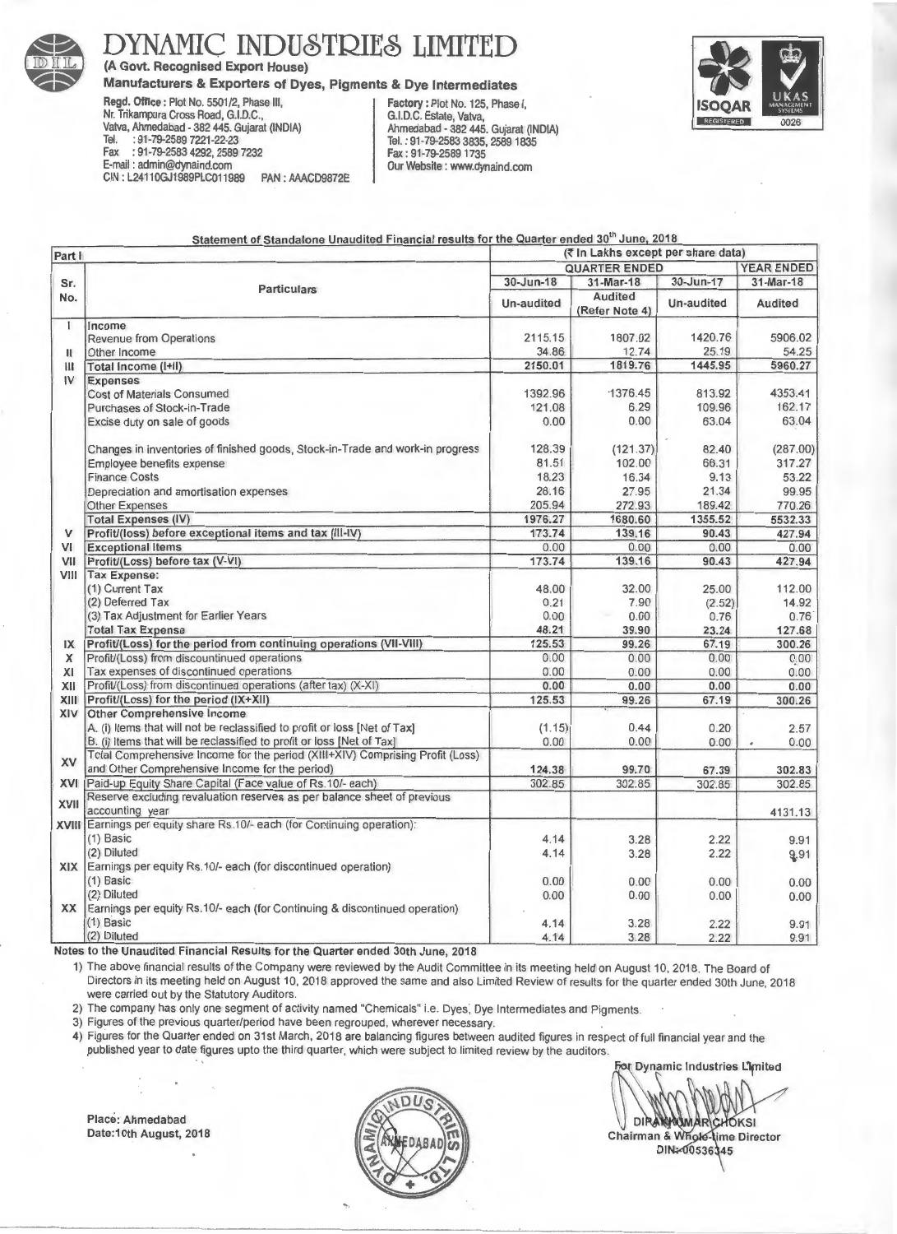

## YNAMIC INDUSTRIES LIMITED

(A Govt. Recognised Export House)

## Manufacturers & Exporters of Dyes, Pigments & Dye Intermediates<br>Regd. Office: Plot No. 5501/2, Phase III, Factory: Plot No. 125, Phase

Nr. Trikampura Cross Road, G.I.D.C.,<br>Vatva, Ahmedabad - 382 445. Gujarat (INDIA) Vatva, Ahmedabad - 382 445. Gujarat (INDIA) <br>Tel. : 91-79-2589 7221-22-23 are all and a Tel. : 91-79-2583 3835. 2589 1835 Fax : 91-79-2583 4292, 2589 7232<br>E-mail: admin@dynaind.com CIN: L24110GJ1989PLC011989

Factory : Plot No. 125, Phase I, G.I.D.C. Estate, Vatva, Tel.: 91-79-2583 3835, 2589 1835<br>Fax: 91-79-2589 1735 PAN : AAACD9872E | Our Website : www.dynaind.com

Statement of Standalone Unaudited Financial results for the Quarter ended 30" June, 2018



| Part I      |                                                                                            | (₹ In Lakhs except per share data) |                           |            |                   |
|-------------|--------------------------------------------------------------------------------------------|------------------------------------|---------------------------|------------|-------------------|
|             |                                                                                            | <b>QUARTER ENDED</b>               |                           |            | <b>YEAR ENDED</b> |
| Sr.<br>No.  | <b>Particulars</b>                                                                         | 30-Jun-18                          | 31-Mar-18                 | 30-Jun-17  | 31-Mar-18         |
|             |                                                                                            | Un-audited                         | Audited<br>(Refer Note 4) | Un-audited | Audited           |
| ŧ           | Income                                                                                     |                                    |                           |            |                   |
|             | Revenue from Operations                                                                    | 2115.15                            | 1807.02                   | 1420.76    | 5906.02           |
| Ħ           | Other Income                                                                               | 34.86                              | 12.74                     | 25.19      | 54.25             |
| III         | Total Income (I+II)                                                                        | 2150.01                            | 1819.76                   | 1445.95    | 5960.27           |
| IV          | <b>Expenses</b>                                                                            |                                    |                           |            |                   |
|             | <b>Cost of Materials Consumed</b>                                                          | 1392.96                            | 1376.45                   | 813.92     | 4353.41           |
|             | Purchases of Stock-in-Trade                                                                | 121.08                             | 6.29                      | 109.96     | 162.17            |
|             | Excise duty on sale of goods                                                               | 0.00                               | 0.00                      | 63.04      | 63.04             |
|             | Changes in inventories of finished goods, Stock-in-Trade and work-in progress              | 128.39                             | (121.37)                  | 82.40      | (287.00)          |
|             | Employee benefits expense                                                                  | 81.51                              | 102.00                    | 66.31      | 317.27            |
|             | <b>Finance Costs</b>                                                                       | 18.23                              | 16.34                     | 9.13       | 53.22             |
|             | Depreciation and amortisation expenses                                                     | 28.16                              | 27.95                     | 21.34      | 99.95             |
|             | <b>Other Expenses</b>                                                                      | 205.94                             | 272.93                    | 189.42     | 770.26            |
|             | <b>Total Expenses (IV)</b>                                                                 | 1976.27                            | 1680.60                   | 1355.52    | 5532.33           |
| V           | Profit/(loss) before exceptional items and tax (III-IV)                                    | 173.74                             | 139.16                    | 90.43      | 427.94            |
| VI          | <b>Exceptional Items</b>                                                                   | 0.00                               | 0.00                      | 0.00       | 0.00              |
| VII         | Profit/(Loss) before tax (V-VI)                                                            | 173.74                             | 139.16                    | 90.43      | 427.94            |
| VIII        | <b>Tax Expense:</b>                                                                        |                                    |                           |            |                   |
|             | (1) Current Tax                                                                            | 48.00                              | 32.00                     | 25.00      | 112.00            |
|             | (2) Deferred Tax                                                                           | 0.21                               | 7.90                      | (2.52)     | 14.92             |
|             | (3) Tax Adjustment for Earlier Years                                                       | 0.00                               | 0.00                      | 0.76       | $0.76^{1}$        |
|             | <b>Total Tax Expense</b>                                                                   | 48.21                              | 39.90                     | 23.24      | 127.68            |
| IX          | Profit/(Loss) for the period from continuing operations (VII-VIII)                         | 125.53                             | 99.26                     | 67.19      | 300.26            |
| X           | Profit/(Loss) from discountinued operations                                                | 0.00                               | 0.00                      | 0.00       | 0.00              |
| XI          | Tax expenses of discontinued operations                                                    | 0.00                               | 0.00                      | 0.00       | 0.00              |
| XII         | Profit/(Loss) from discontinued operations (after tax) (X-XI)                              | 0.00                               | 0.00                      | 0.00       | 0.00              |
| XIII        | Profit/(Loss) for the period (IX+XII)                                                      | 125.53                             | 99.26                     | 67.19      | 300.26            |
| XIV         | Other Comprehensive Income                                                                 |                                    |                           |            |                   |
|             | A. (i) Items that will not be reclassified to profit or loss [Net of Tax]                  | (1.15)                             | 0.44                      | 0.20       | 2.57              |
|             | B. (i) Items that will be reclassified to profit or loss [Net of Tax]                      | 0.00                               | 0.00                      | 0.00       | 0.00              |
| XV          | Total Comprehensive Income for the period (XIII+XIV) Comprising Profit (Loss)              |                                    |                           |            |                   |
|             | and Other Comprehensive Income for the period)                                             | 124.38                             | 99.70                     | 67.39      | 302.83            |
| XVI         | Paid-up Equity Share Capital (Face value of Rs.10/- each)                                  | 302.85                             | 302.85                    | 302.85     | 302.85            |
| <b>XVII</b> | Reserve excluding revaluation reserves as per balance sheet of previous<br>accounting year |                                    |                           |            | 4131.13           |
|             | XVIII Earnings per equity share Rs.10/- each (for Continuing operation):                   |                                    |                           |            |                   |
|             | $(1)$ Basic                                                                                | 4.14                               | 3.28                      | 2.22       | 9.91              |
|             | (2) Diluted                                                                                | 4.14                               | 3.28                      | 2.22       | 9.91              |
|             | XIX Earnings per equity Rs.10/- each (for discontinued operation)                          |                                    |                           |            |                   |
|             | $(1)$ Basic                                                                                | 0.00                               | 0.00                      | 0.00       | 0.00              |
|             | (2) Diluted                                                                                | 0.00                               | 0.00                      | 0.00       | 0.00              |
| XX          | Earnings per equity Rs.10/- each (for Continuing & discontinued operation)                 |                                    |                           |            |                   |
|             | $(1)$ Basic                                                                                | 4.14                               | 3.28                      | 2.22       | 9.91              |

(2) Diluted 2.22 9.91 Notes to the Unaudited Financial Results for the Quarter ended 30th June, 2018

1) The above financial results of the Company were reviewed by the Audit Committee in its meeting held on August 10, 2018. The Board of Directors in its meeting held on August 10, 2018 approved the same and also Limited Review of results for the quarter ended 30th June, 2018 were carried out by the Statutory Auditors.

2) The company has only one segment of activity named "Chemicals" i.e. Dyes, Dye Intermediates and Pigments.

3) Figures of the previous quarter/period have been regrouped , wherever necessary.

4) Figures for the Quarter ended on 31st March, 2018 are balancing figures between audited figures in respect of full financial year and the published year to date figures upto the third quarter, which were subject to limited review by the auditors.

Place: Ahmedabad Date:10th August, 2018



v Dynamic Industries L'imited

DIRAKKUMAR CHOKSI Chairman & Whole-time Director DIN-00536345